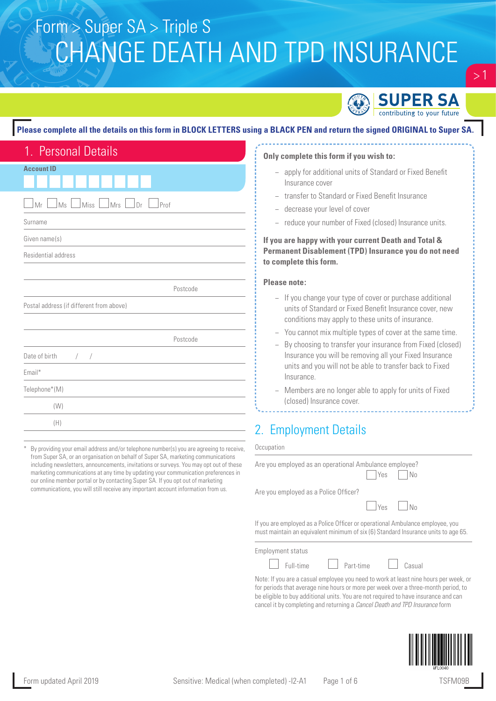

### **Please complete all the details on this form in BLOCK LETTERS using a BLACK PEN and return the signed ORIGINAL to Super SA.**

| 1. Personal Details                                                         |
|-----------------------------------------------------------------------------|
| <b>Account ID</b>                                                           |
|                                                                             |
| $\Box$ Ms $\Box$<br>$\lfloor$ Miss $\lfloor$ Mrs $\lfloor$ Dr<br>Mr<br>Prof |
| Surname                                                                     |
| Given name(s)                                                               |
| Residential address                                                         |
|                                                                             |
| Postcode                                                                    |
| Postal address (if different from above)                                    |
|                                                                             |
| Postcode                                                                    |
| Date of birth<br>$\bigg)$<br>$\sqrt{2}$                                     |
| Email*                                                                      |
| Telephone*(M)                                                               |
| (W)                                                                         |
| (H)                                                                         |

By providing your email address and/or telephone number(s) you are agreeing to receive, from Super SA, or an organisation on behalf of Super SA, marketing communications including newsletters, announcements, invitations or surveys. You may opt out of these marketing communications at any time by updating your communication preferences in our online member portal or by contacting Super SA. If you opt out of marketing communications, you will still receive any important account information from us.

#### **Only complete this form if you wish to:**

- − apply for additional units of Standard or Fixed Benefit Insurance cover
- transfer to Standard or Fixed Benefit Insurance
- − decrease your level of cover
- reduce your number of Fixed (closed) Insurance units.

### **If you are happy with your current Death and Total & Permanent Disablement (TPD) Insurance you do not need to complete this form.**

#### **Please note:**

- − If you change your type of cover or purchase additional units of Standard or Fixed Benefit Insurance cover, new conditions may apply to these units of insurance.
- − You cannot mix multiple types of cover at the same time.
- By choosing to transfer your insurance from Fixed (closed) Insurance you will be removing all your Fixed Insurance units and you will not be able to transfer back to Fixed Insurance.
- Members are no longer able to apply for units of Fixed (closed) Insurance cover.

## 2. Employment Details

#### **Occupation**

| Are you employed as an operational Ambulance employee?                                                                                                               |                |  |
|----------------------------------------------------------------------------------------------------------------------------------------------------------------------|----------------|--|
|                                                                                                                                                                      | $ $ Yes $ $ No |  |
| Are you employed as a Police Officer?                                                                                                                                |                |  |
|                                                                                                                                                                      | $Yes$ $N_0$    |  |
| If you are employed as a Police Officer or operational Ambulance employee, you<br>must maintain an equivalent minimum of six (6) Standard Insurance units to age 65. |                |  |

Employment status

Full-time  $\Box$  Part-time  $\Box$  Casual

Note: If you are a casual employee you need to work at least nine hours per week, or for periods that average nine hours or more per week over a three-month period, to be eligible to buy additional units. You are not required to have insurance and can cancel it by completing and returning a *Cancel Death and TPD Insurance* form



 $>1$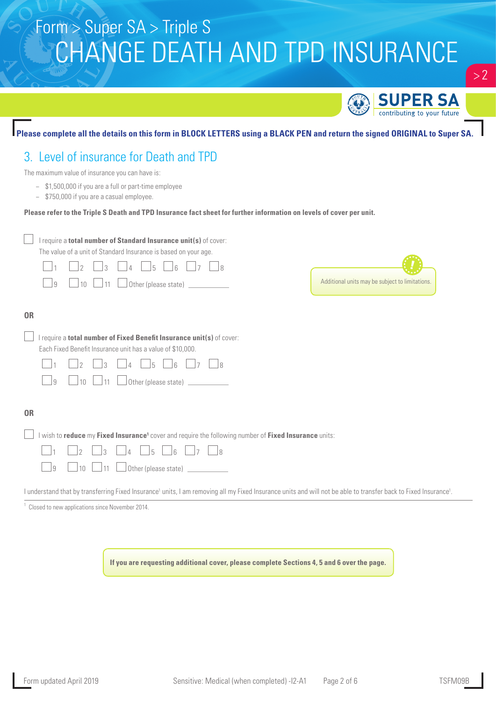

**If you are requesting additional cover, please complete Sections 4, 5 and 6 over the page.**

 $> 2$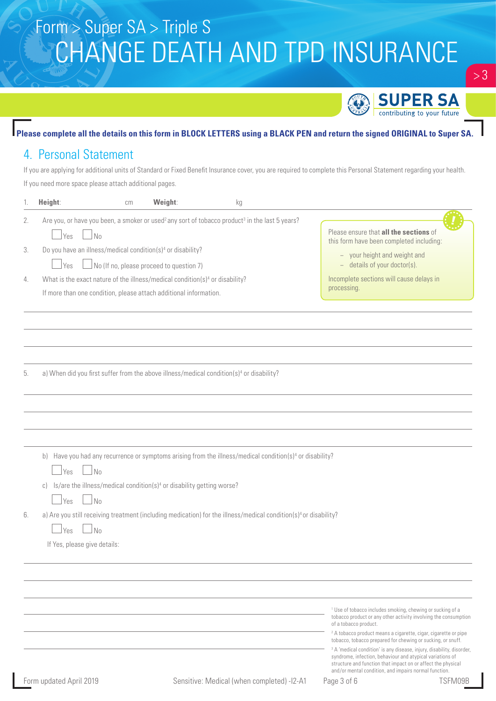

## **Please complete all the details on this form in BLOCK LETTERS using a BLACK PEN and return the signed ORIGINAL to Super SA.**

## 4. Personal Statement

If you are applying for additional units of Standard or Fixed Benefit Insurance cover, you are required to complete this Personal Statement regarding your health. If you need more space please attach additional pages.

| 1. | Height:<br>cm                                                                                                                                                 | Weight:                                          | kg                                                                                                                           |                                                                                                                                                                                                                                                                                                                                                                                                                                               |
|----|---------------------------------------------------------------------------------------------------------------------------------------------------------------|--------------------------------------------------|------------------------------------------------------------------------------------------------------------------------------|-----------------------------------------------------------------------------------------------------------------------------------------------------------------------------------------------------------------------------------------------------------------------------------------------------------------------------------------------------------------------------------------------------------------------------------------------|
| 2. | Are you, or have you been, a smoker or used <sup>2</sup> any sort of tobacco product <sup>3</sup> in the last 5 years?<br>No<br>Yes                           |                                                  |                                                                                                                              | Please ensure that all the sections of<br>this form have been completed including:                                                                                                                                                                                                                                                                                                                                                            |
| 3. | Do you have an illness/medical condition(s) <sup>4</sup> or disability?<br>Yes                                                                                | $\sqrt{N}$ (If no, please proceed to question 7) |                                                                                                                              | - your height and weight and<br>- details of your doctor(s).                                                                                                                                                                                                                                                                                                                                                                                  |
| 4. | What is the exact nature of the illness/medical condition(s) <sup>4</sup> or disability?<br>If more than one condition, please attach additional information. |                                                  |                                                                                                                              | Incomplete sections will cause delays in<br>processing.                                                                                                                                                                                                                                                                                                                                                                                       |
|    |                                                                                                                                                               |                                                  |                                                                                                                              |                                                                                                                                                                                                                                                                                                                                                                                                                                               |
| 5. | a) When did you first suffer from the above illness/medical condition(s) <sup>4</sup> or disability?                                                          |                                                  |                                                                                                                              |                                                                                                                                                                                                                                                                                                                                                                                                                                               |
|    |                                                                                                                                                               |                                                  |                                                                                                                              |                                                                                                                                                                                                                                                                                                                                                                                                                                               |
|    | b)<br>N <sub>0</sub><br>  Yes<br>Is/are the illness/medical condition(s) <sup>4</sup> or disability getting worse?<br>C)<br>N <sub>0</sub><br>  Yes           |                                                  | Have you had any recurrence or symptoms arising from the illness/medical condition(s) <sup>4</sup> or disability?            |                                                                                                                                                                                                                                                                                                                                                                                                                                               |
| 6. | $\Box$ No<br>Yes<br>If Yes, please give details:                                                                                                              |                                                  | a) Are you still receiving treatment (including medication) for the illness/medical condition(s) <sup>4</sup> or disability? |                                                                                                                                                                                                                                                                                                                                                                                                                                               |
|    |                                                                                                                                                               |                                                  |                                                                                                                              | <sup>1</sup> Use of tobacco includes smoking, chewing or sucking of a<br>tobacco product or any other activity involving the consumption<br>of a tobacco product.                                                                                                                                                                                                                                                                             |
|    | Form updated April 2019                                                                                                                                       |                                                  | Sensitive: Medical (when completed) -I2-A1                                                                                   | <sup>2</sup> A tobacco product means a cigarette, cigar, cigarette or pipe<br>tobacco, tobacco prepared for chewing or sucking, or snuff.<br><sup>3</sup> A 'medical condition' is any disease, injury, disability, disorder,<br>syndrome, infection, behaviour and atypical variations of<br>structure and function that impact on or affect the physical<br>and/or mental condition, and impairs normal function.<br>Page 3 of 6<br>TSFM09B |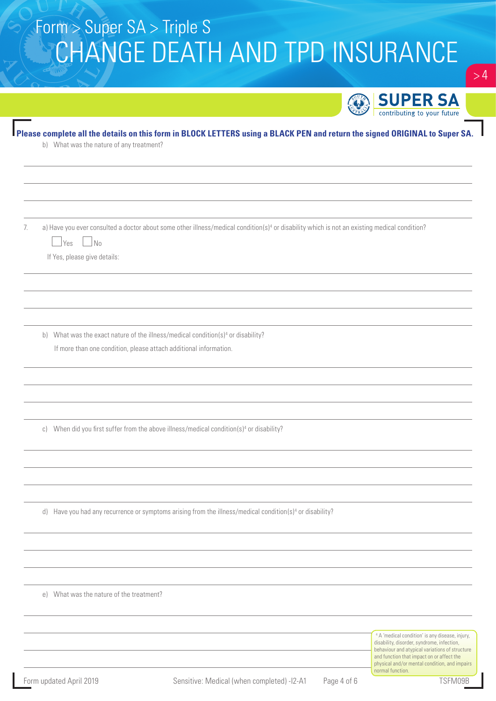|    |                                                                                                                                                                                                                | <b>SUPER SA</b>                                                                                                                                                                                                                                          |
|----|----------------------------------------------------------------------------------------------------------------------------------------------------------------------------------------------------------------|----------------------------------------------------------------------------------------------------------------------------------------------------------------------------------------------------------------------------------------------------------|
|    | Please complete all the details on this form in BLOCK LETTERS using a BLACK PEN and return the signed ORIGINAL to Super SA.<br>b) What was the nature of any treatment?                                        | contributing to your future                                                                                                                                                                                                                              |
|    |                                                                                                                                                                                                                |                                                                                                                                                                                                                                                          |
| 7. | a) Have you ever consulted a doctor about some other illness/medical condition(s) <sup>4</sup> or disability which is not an existing medical condition?<br>  Yes<br>$\Box$ No<br>If Yes, please give details: |                                                                                                                                                                                                                                                          |
|    |                                                                                                                                                                                                                |                                                                                                                                                                                                                                                          |
|    | b) What was the exact nature of the illness/medical condition(s) <sup>4</sup> or disability?<br>If more than one condition, please attach additional information.                                              |                                                                                                                                                                                                                                                          |
|    | c) When did you first suffer from the above illness/medical condition(s) <sup>4</sup> or disability?                                                                                                           |                                                                                                                                                                                                                                                          |
|    | d) Have you had any recurrence or symptoms arising from the illness/medical condition(s) <sup>4</sup> or disability?                                                                                           |                                                                                                                                                                                                                                                          |
|    | e) What was the nature of the treatment?                                                                                                                                                                       |                                                                                                                                                                                                                                                          |
|    |                                                                                                                                                                                                                | <sup>4</sup> A 'medical condition' is any disease, injury,<br>disability, disorder, syndrome, infection,<br>behaviour and atypical variations of structure<br>and function that impact on or affect the<br>physical and/or mental condition, and impairs |

normal function

 $\sim 4$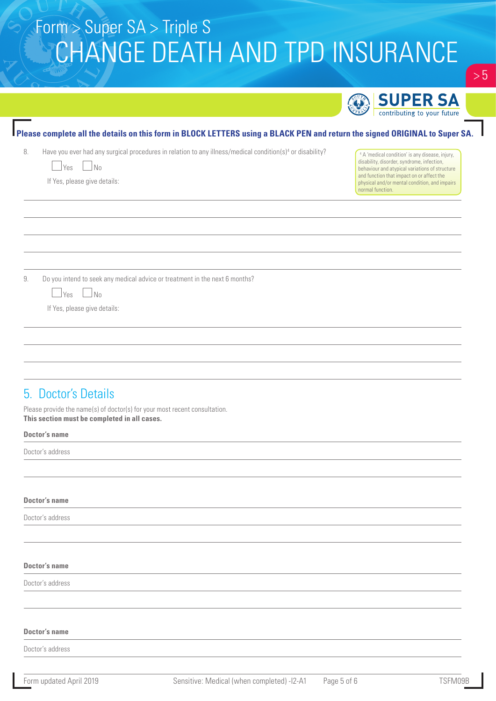|                                                                                                                                                                                                                                                           | <b>SUPER SA</b>                                                                                                                                                                                         |
|-----------------------------------------------------------------------------------------------------------------------------------------------------------------------------------------------------------------------------------------------------------|---------------------------------------------------------------------------------------------------------------------------------------------------------------------------------------------------------|
|                                                                                                                                                                                                                                                           | contributing to your future                                                                                                                                                                             |
| Please complete all the details on this form in BLOCK LETTERS using a BLACK PEN and return the signed ORIGINAL to Super SA<br>Have you ever had any surgical procedures in relation to any illness/medical condition(s) <sup>4</sup> or disability?<br>8. |                                                                                                                                                                                                         |
| $\Box$ No<br>  Yes                                                                                                                                                                                                                                        | <sup>4</sup> A 'medical condition' is any disease, injury,<br>disability, disorder, syndrome, infection,<br>behaviour and atypical variations of structure<br>and function that impact on or affect the |
| If Yes, please give details:                                                                                                                                                                                                                              | physical and/or mental condition, and impairs<br>normal function.                                                                                                                                       |
|                                                                                                                                                                                                                                                           |                                                                                                                                                                                                         |
|                                                                                                                                                                                                                                                           |                                                                                                                                                                                                         |
| Do you intend to seek any medical advice or treatment in the next 6 months?<br>9.                                                                                                                                                                         |                                                                                                                                                                                                         |
| No<br>Yes<br>If Yes, please give details:                                                                                                                                                                                                                 |                                                                                                                                                                                                         |
|                                                                                                                                                                                                                                                           |                                                                                                                                                                                                         |
|                                                                                                                                                                                                                                                           |                                                                                                                                                                                                         |
| 5. Doctor's Details                                                                                                                                                                                                                                       |                                                                                                                                                                                                         |
| Please provide the name(s) of doctor(s) for your most recent consultation.<br>This section must be completed in all cases.                                                                                                                                |                                                                                                                                                                                                         |
| <b>Doctor's name</b>                                                                                                                                                                                                                                      |                                                                                                                                                                                                         |
| Doctor's address                                                                                                                                                                                                                                          |                                                                                                                                                                                                         |
|                                                                                                                                                                                                                                                           |                                                                                                                                                                                                         |
| <b>Doctor's name</b><br>Doctor's address                                                                                                                                                                                                                  |                                                                                                                                                                                                         |
|                                                                                                                                                                                                                                                           |                                                                                                                                                                                                         |
| <b>Doctor's name</b>                                                                                                                                                                                                                                      |                                                                                                                                                                                                         |
| Doctor's address                                                                                                                                                                                                                                          |                                                                                                                                                                                                         |
|                                                                                                                                                                                                                                                           |                                                                                                                                                                                                         |
| <b>Doctor's name</b>                                                                                                                                                                                                                                      |                                                                                                                                                                                                         |
| Doctor's address                                                                                                                                                                                                                                          |                                                                                                                                                                                                         |

 $> 5$